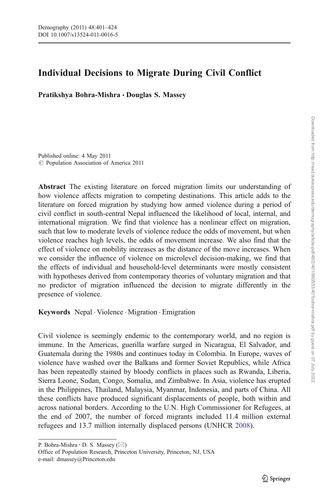# Individual Decisions to Migrate During Civil Conflict

Pratikshya Bohra-Mishra · Douglas S. Massey

Published online: 4 May 2011  $\circ$  Population Association of America 2011

Abstract The existing literature on forced migration limits our understanding of how violence affects migration to competing destinations. This article adds to the literature on forced migration by studying how armed violence during a period of civil conflict in south-central Nepal influenced the likelihood of local, internal, and international migration. We find that violence has a nonlinear effect on migration, such that low to moderate levels of violence reduce the odds of movement, but when violence reaches high levels, the odds of movement increase. We also find that the effect of violence on mobility increases as the distance of the move increases. When we consider the influence of violence on microlevel decision-making, we find that the effects of individual and household-level determinants were mostly consistent with hypotheses derived from contemporary theories of voluntary migration and that no predictor of migration influenced the decision to migrate differently in the presence of violence.

Keywords Nepal . Violence . Migration . Emigration

Civil violence is seemingly endemic to the contemporary world, and no region is immune. In the Americas, guerilla warfare surged in Nicaragua, El Salvador, and Guatemala during the 1980s and continues today in Colombia. In Europe, waves of violence have washed over the Balkans and former Soviet Republics, while Africa has been repeatedly stained by bloody conflicts in places such as Rwanda, Liberia, Sierra Leone, Sudan, Congo, Somalia, and Zimbabwe. In Asia, violence has erupted in the Philippines, Thailand, Malaysia, Myanmar, Indonesia, and parts of China. All these conflicts have produced significant displacements of people, both within and across national borders. According to the U.N. High Commissioner for Refugees, at the end of 2007, the number of forced migrants included 11.4 million external refugees and 13.7 million internally displaced persons (UNHCR [2008](#page-23-0)).

Office of Population Research, Princeton University, Princeton, NJ, USA e-mail: dmassey@Princeton.edu

P. Bohra-Mishra  $\cdot$  D. S. Massey ( $\boxtimes$ )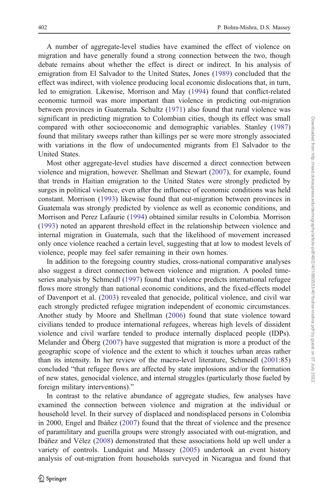A number of aggregate-level studies have examined the effect of violence on migration and have generally found a strong connection between the two, though debate remains about whether the effect is direct or indirect. In his analysis of emigration from El Salvador to the United States, Jones ([1989\)](#page-22-0) concluded that the effect was indirect, with violence producing local economic dislocations that, in turn, led to emigration. Likewise, Morrison and May [\(1994](#page-23-0)) found that conflict-related economic turmoil was more important than violence in predicting out-migration between provinces in Guatemala. Schultz [\(1971](#page-23-0)) also found that rural violence was significant in predicting migration to Colombian cities, though its effect was small compared with other socioeconomic and demographic variables. Stanley [\(1987](#page-23-0)) found that military sweeps rather than killings per se were more strongly associated with variations in the flow of undocumented migrants from El Salvador to the United States.

Most other aggregate-level studies have discerned a direct connection between violence and migration, however. Shellman and Stewart ([2007\)](#page-23-0), for example, found that trends in Haitian emigration to the United States were strongly predicted by surges in political violence, even after the influence of economic conditions was held constant. Morrison [\(1993](#page-23-0)) likewise found that out-migration between provinces in Guatemala was strongly predicted by violence as well as economic conditions, and Morrison and Perez Lafaurie [\(1994](#page-23-0)) obtained similar results in Colombia. Morrison [\(1993](#page-23-0)) noted an apparent threshold effect in the relationship between violence and internal migration in Guatemala, such that the likelihood of movement increased only once violence reached a certain level, suggesting that at low to modest levels of violence, people may feel safer remaining in their own homes.

In addition to the foregoing country studies, cross-national comparative analyses also suggest a direct connection between violence and migration. A pooled timeseries analysis by Schmeidl ([1997\)](#page-23-0) found that violence predicts international refugee flows more strongly than national economic conditions, and the fixed-effects model of Davenport et al. [\(2003](#page-22-0)) revealed that genocide, political violence, and civil war each strongly predicted refugee migration independent of economic circumstances. Another study by Moore and Shellman ([2006\)](#page-23-0) found that state violence toward civilians tended to produce international refugees, whereas high levels of dissident violence and civil warfare tended to produce internally displaced people (IDPs). Melander and Öberg ([2007\)](#page-23-0) have suggested that migration is more a product of the geographic scope of violence and the extent to which it touches urban areas rather than its intensity. In her review of the macro-level literature, Schmeidl [\(2001](#page-23-0):85) concluded "that refugee flows are affected by state implosions and/or the formation of new states, genocidal violence, and internal struggles (particularly those fueled by foreign military interventions)."

In contrast to the relative abundance of aggregate studies, few analyses have examined the connection between violence and migration at the individual or household level. In their survey of displaced and nondisplaced persons in Colombia in 2000, Engel and Ibáñez [\(2007](#page-22-0)) found that the threat of violence and the presence of paramilitary and guerilla groups were strongly associated with out-migration, and Ibáñez and Vélez ([2008\)](#page-22-0) demonstrated that these associations hold up well under a variety of controls. Lundquist and Massey ([2005\)](#page-22-0) undertook an event history analysis of out-migration from households surveyed in Nicaragua and found that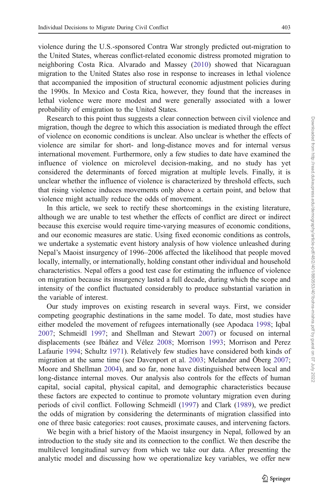violence during the U.S.-sponsored Contra War strongly predicted out-migration to the United States, whereas conflict-related economic distress promoted migration to neighboring Costa Rica. Alvarado and Massey ([2010\)](#page-22-0) showed that Nicaraguan migration to the United States also rose in response to increases in lethal violence that accompanied the imposition of structural economic adjustment policies during the 1990s. In Mexico and Costa Rica, however, they found that the increases in lethal violence were more modest and were generally associated with a lower probability of emigration to the United States.

Research to this point thus suggests a clear connection between civil violence and migration, though the degree to which this association is mediated through the effect of violence on economic conditions is unclear. Also unclear is whether the effects of violence are similar for short- and long-distance moves and for internal versus international movement. Furthermore, only a few studies to date have examined the influence of violence on microlevel decision-making, and no study has yet considered the determinants of forced migration at multiple levels. Finally, it is unclear whether the influence of violence is characterized by threshold effects, such that rising violence induces movements only above a certain point, and below that violence might actually reduce the odds of movement.

In this article, we seek to rectify these shortcomings in the existing literature, although we are unable to test whether the effects of conflict are direct or indirect because this exercise would require time-varying measures of economic conditions, and our economic measures are static. Using fixed economic conditions as controls, we undertake a systematic event history analysis of how violence unleashed during Nepal's Maoist insurgency of 1996–2006 affected the likelihood that people moved locally, internally, or internationally, holding constant other individual and household characteristics. Nepal offers a good test case for estimating the influence of violence on migration because its insurgency lasted a full decade, during which the scope and intensity of the conflict fluctuated considerably to produce substantial variation in the variable of interest.

Our study improves on existing research in several ways. First, we consider competing geographic destinations in the same model. To date, most studies have either modeled the movement of refugees internationally (see Apodaca [1998;](#page-22-0) Iqbal [2007;](#page-22-0) Schmeidl [1997](#page-23-0); and Shellman and Stewart [2007\)](#page-23-0) or focused on internal displacements (see Ibáñez and Vélez [2008;](#page-22-0) Morrison [1993;](#page-23-0) Morrison and Perez Lafaurie [1994](#page-23-0); Schultz [1971\)](#page-23-0). Relatively few studies have considered both kinds of migration at the same time (see Davenport et al. [2003](#page-22-0); Melander and Öberg [2007;](#page-23-0) Moore and Shellman [2004](#page-23-0)), and so far, none have distinguished between local and long-distance internal moves. Our analysis also controls for the effects of human capital, social capital, physical capital, and demographic characteristics because these factors are expected to continue to promote voluntary migration even during periods of civil conflict. Following Schmeidl [\(1997](#page-23-0)) and Clark [\(1989](#page-22-0)), we predict the odds of migration by considering the determinants of migration classified into one of three basic categories: root causes, proximate causes, and intervening factors.

We begin with a brief history of the Maoist insurgency in Nepal, followed by an introduction to the study site and its connection to the conflict. We then describe the multilevel longitudinal survey from which we take our data. After presenting the analytic model and discussing how we operationalize key variables, we offer new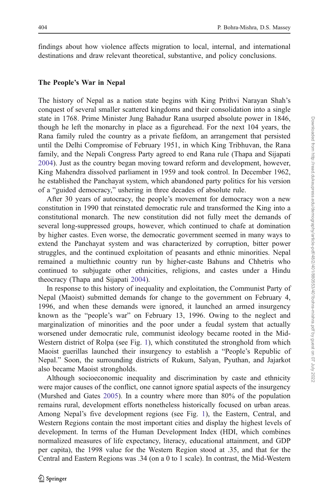findings about how violence affects migration to local, internal, and international destinations and draw relevant theoretical, substantive, and policy conclusions.

### The People's War in Nepal

The history of Nepal as a nation state begins with King Prithvi Narayan Shah's conquest of several smaller scattered kingdoms and their consolidation into a single state in 1768. Prime Minister Jung Bahadur Rana usurped absolute power in 1846, though he left the monarchy in place as a figurehead. For the next 104 years, the Rana family ruled the country as a private fiefdom, an arrangement that persisted until the Delhi Compromise of February 1951, in which King Tribhuvan, the Rana family, and the Nepali Congress Party agreed to end Rana rule (Thapa and Sijapati [2004\)](#page-23-0). Just as the country began moving toward reform and development, however, King Mahendra dissolved parliament in 1959 and took control. In December 1962, he established the Panchayat system, which abandoned party politics for his version of a "guided democracy," ushering in three decades of absolute rule.

After 30 years of autocracy, the people's movement for democracy won a new constitution in 1990 that reinstated democratic rule and transformed the King into a constitutional monarch. The new constitution did not fully meet the demands of several long-suppressed groups, however, which continued to chafe at domination by higher castes. Even worse, the democratic government seemed in many ways to extend the Panchayat system and was characterized by corruption, bitter power struggles, and the continued exploitation of peasants and ethnic minorities. Nepal remained a multiethnic country run by higher-caste Bahuns and Chhetris who continued to subjugate other ethnicities, religions, and castes under a Hindu theocracy (Thapa and Sijapati [2004\)](#page-23-0).

In response to this history of inequality and exploitation, the Communist Party of Nepal (Maoist) submitted demands for change to the government on February 4, 1996, and when these demands were ignored, it launched an armed insurgency known as the "people's war" on February 13, 1996. Owing to the neglect and marginalization of minorities and the poor under a feudal system that actually worsened under democratic rule, communist ideology became rooted in the Mid-Western district of Rolpa (see Fig. [1](#page-4-0)), which constituted the stronghold from which Maoist guerillas launched their insurgency to establish a "People's Republic of Nepal." Soon, the surrounding districts of Rukum, Salyan, Pyuthan, and Jajarkot also became Maoist strongholds.

Although socioeconomic inequality and discrimination by caste and ethnicity were major causes of the conflict, one cannot ignore spatial aspects of the insurgency (Murshed and Gates [2005](#page-23-0)). In a country where more than 80% of the population remains rural, development efforts nonetheless historically focused on urban areas. Among Nepal's five development regions (see Fig. [1\)](#page-4-0), the Eastern, Central, and Western Regions contain the most important cities and display the highest levels of development. In terms of the Human Development Index (HDI, which combines normalized measures of life expectancy, literacy, educational attainment, and GDP per capita), the 1998 value for the Western Region stood at .35, and that for the Central and Eastern Regions was .34 (on a 0 to 1 scale). In contrast, the Mid-Western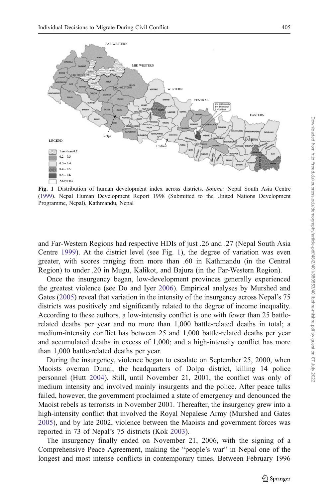<span id="page-4-0"></span>

Fig. 1 Distribution of human development index across districts. Source: Nepal South Asia Centre ([1999\)](#page-23-0). Nepal Human Development Report 1998 (Submitted to the United Nations Development Programme, Nepal), Kathmandu, Nepal

and Far-Western Regions had respective HDIs of just .26 and .27 (Nepal South Asia Centre [1999\)](#page-23-0). At the district level (see Fig. 1), the degree of variation was even greater, with scores ranging from more than .60 in Kathmandu (in the Central Region) to under .20 in Mugu, Kalikot, and Bajura (in the Far-Western Region).

Once the insurgency began, low-development provinces generally experienced the greatest violence (see Do and Iyer [2006\)](#page-22-0). Empirical analyses by Murshed and Gates [\(2005](#page-23-0)) reveal that variation in the intensity of the insurgency across Nepal's 75 districts was positively and significantly related to the degree of income inequality. According to these authors, a low-intensity conflict is one with fewer than 25 battlerelated deaths per year and no more than 1,000 battle-related deaths in total; a medium-intensity conflict has between 25 and 1,000 battle-related deaths per year and accumulated deaths in excess of 1,000; and a high-intensity conflict has more than 1,000 battle-related deaths per year.

During the insurgency, violence began to escalate on September 25, 2000, when Maoists overran Dunai, the headquarters of Dolpa district, killing 14 police personnel (Hutt [2004](#page-22-0)). Still, until November 21, 2001, the conflict was only of medium intensity and involved mainly insurgents and the police. After peace talks failed, however, the government proclaimed a state of emergency and denounced the Maoist rebels as terrorists in November 2001. Thereafter, the insurgency grew into a high-intensity conflict that involved the Royal Nepalese Army (Murshed and Gates [2005\)](#page-23-0), and by late 2002, violence between the Maoists and government forces was reported in 73 of Nepal's 75 districts (Kok [2003\)](#page-22-0).

The insurgency finally ended on November 21, 2006, with the signing of a Comprehensive Peace Agreement, making the "people's war" in Nepal one of the longest and most intense conflicts in contemporary times. Between February 1996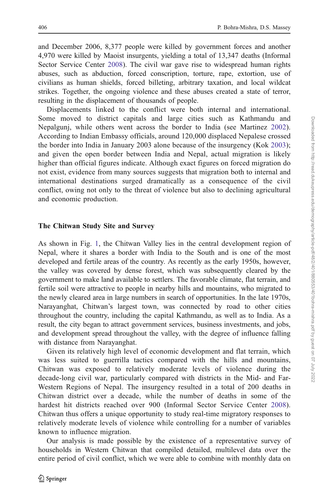and December 2006, 8,377 people were killed by government forces and another 4,970 were killed by Maoist insurgents, yielding a total of 13,347 deaths (Informal Sector Service Center [2008](#page-22-0)). The civil war gave rise to widespread human rights abuses, such as abduction, forced conscription, torture, rape, extortion, use of civilians as human shields, forced billeting, arbitrary taxation, and local wildcat strikes. Together, the ongoing violence and these abuses created a state of terror, resulting in the displacement of thousands of people.

Displacements linked to the conflict were both internal and international. Some moved to district capitals and large cities such as Kathmandu and Nepalgunj, while others went across the border to India (see Martinez [2002\)](#page-22-0). According to Indian Embassy officials, around 120,000 displaced Nepalese crossed the border into India in January 2003 alone because of the insurgency (Kok [2003](#page-22-0)); and given the open border between India and Nepal, actual migration is likely higher than official figures indicate. Although exact figures on forced migration do not exist, evidence from many sources suggests that migration both to internal and international destinations surged dramatically as a consequence of the civil conflict, owing not only to the threat of violence but also to declining agricultural and economic production.

## The Chitwan Study Site and Survey

As shown in Fig. [1,](#page-4-0) the Chitwan Valley lies in the central development region of Nepal, where it shares a border with India to the South and is one of the most developed and fertile areas of the country. As recently as the early 1950s, however, the valley was covered by dense forest, which was subsequently cleared by the government to make land available to settlers. The favorable climate, flat terrain, and fertile soil were attractive to people in nearby hills and mountains, who migrated to the newly cleared area in large numbers in search of opportunities. In the late 1970s, Narayanghat, Chitwan's largest town, was connected by road to other cities throughout the country, including the capital Kathmandu, as well as to India. As a result, the city began to attract government services, business investments, and jobs, and development spread throughout the valley, with the degree of influence falling with distance from Narayanghat.

Given its relatively high level of economic development and flat terrain, which was less suited to guerrilla tactics compared with the hills and mountains, Chitwan was exposed to relatively moderate levels of violence during the decade-long civil war, particularly compared with districts in the Mid- and Far-Western Regions of Nepal. The insurgency resulted in a total of 200 deaths in Chitwan district over a decade, while the number of deaths in some of the hardest hit districts reached over 900 (Informal Sector Service Center [2008\)](#page-22-0). Chitwan thus offers a unique opportunity to study real-time migratory responses to relatively moderate levels of violence while controlling for a number of variables known to influence migration.

Our analysis is made possible by the existence of a representative survey of households in Western Chitwan that compiled detailed, multilevel data over the entire period of civil conflict, which we were able to combine with monthly data on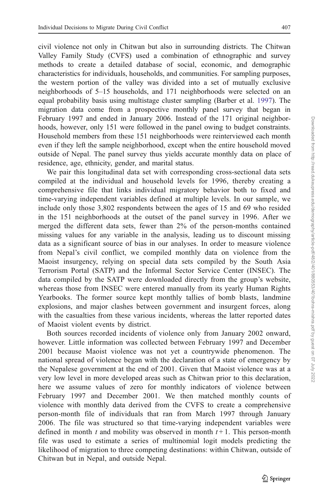civil violence not only in Chitwan but also in surrounding districts. The Chitwan Valley Family Study (CVFS) used a combination of ethnographic and survey methods to create a detailed database of social, economic, and demographic characteristics for individuals, households, and communities. For sampling purposes, the western portion of the valley was divided into a set of mutually exclusive neighborhoods of 5–15 households, and 171 neighborhoods were selected on an equal probability basis using multistage cluster sampling (Barber et al. [1997\)](#page-22-0). The migration data come from a prospective monthly panel survey that began in February 1997 and ended in January 2006. Instead of the 171 original neighborhoods, however, only 151 were followed in the panel owing to budget constraints. Household members from these 151 neighborhoods were reinterviewed each month even if they left the sample neighborhood, except when the entire household moved outside of Nepal. The panel survey thus yields accurate monthly data on place of residence, age, ethnicity, gender, and marital status.

We pair this longitudinal data set with corresponding cross-sectional data sets compiled at the individual and household levels for 1996, thereby creating a comprehensive file that links individual migratory behavior both to fixed and time-varying independent variables defined at multiple levels. In our sample, we include only those 3,802 respondents between the ages of 15 and 69 who resided in the 151 neighborhoods at the outset of the panel survey in 1996. After we merged the different data sets, fewer than 2% of the person-months contained missing values for any variable in the analysis, leading us to discount missing data as a significant source of bias in our analyses. In order to measure violence from Nepal's civil conflict, we compiled monthly data on violence from the Maoist insurgency, relying on special data sets compiled by the South Asia Terrorism Portal (SATP) and the Informal Sector Service Center (INSEC). The data compiled by the SATP were downloaded directly from the group's website, whereas those from INSEC were entered manually from its yearly Human Rights Yearbooks. The former source kept monthly tallies of bomb blasts, landmine explosions, and major clashes between government and insurgent forces, along with the casualties from these various incidents, whereas the latter reported dates of Maoist violent events by district.

Both sources recorded incidents of violence only from January 2002 onward, however. Little information was collected between February 1997 and December 2001 because Maoist violence was not yet a countrywide phenomenon. The national spread of violence began with the declaration of a state of emergency by the Nepalese government at the end of 2001. Given that Maoist violence was at a very low level in more developed areas such as Chitwan prior to this declaration, here we assume values of zero for monthly indicators of violence between February 1997 and December 2001. We then matched monthly counts of violence with monthly data derived from the CVFS to create a comprehensive person-month file of individuals that ran from March 1997 through January 2006. The file was structured so that time-varying independent variables were defined in month t and mobility was observed in month  $t+1$ . This person-month file was used to estimate a series of multinomial logit models predicting the likelihood of migration to three competing destinations: within Chitwan, outside of Chitwan but in Nepal, and outside Nepal.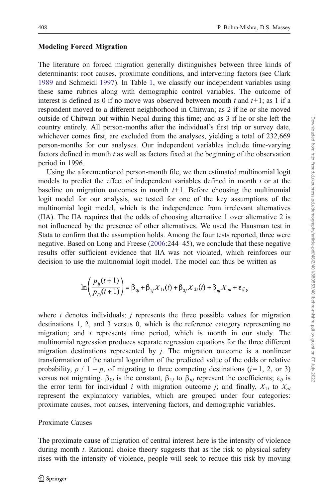## Modeling Forced Migration

The literature on forced migration generally distinguishes between three kinds of determinants: root causes, proximate conditions, and intervening factors (see Clark [1989](#page-22-0) and Schmeidl [1997](#page-23-0)). In Table [1](#page-8-0), we classify our independent variables using these same rubrics along with demographic control variables. The outcome of interest is defined as 0 if no move was observed between month t and  $t+1$ ; as 1 if a respondent moved to a different neighborhood in Chitwan; as 2 if he or she moved outside of Chitwan but within Nepal during this time; and as 3 if he or she left the country entirely. All person-months after the individual's first trip or survey date, whichever comes first, are excluded from the analyses, yielding a total of 232,669 person-months for our analyses. Our independent variables include time-varying factors defined in month t as well as factors fixed at the beginning of the observation period in 1996.

Using the aforementioned person-month file, we then estimated multinomial logit models to predict the effect of independent variables defined in month  $t$  or at the baseline on migration outcomes in month  $t+1$ . Before choosing the multinomial logit model for our analysis, we tested for one of the key assumptions of the multinomial logit model, which is the independence from irrelevant alternatives (IIA). The IIA requires that the odds of choosing alternative 1 over alternative 2 is not influenced by the presence of other alternatives. We used the Hausman test in Stata to confirm that the assumption holds. Among the four tests reported, three were negative. Based on Long and Freese [\(2006](#page-22-0):244–45), we conclude that these negative results offer sufficient evidence that IIA was not violated, which reinforces our decision to use the multinomial logit model. The model can thus be written as

$$
\ln\left(\frac{p_{ij}(t+1)}{p_{i0}(t+1)}\right) = \beta_{0j} + \beta_{1j} X_{1i}(t) + \beta_{2j} X_{2i}(t) + \beta_{nj} X_{ni} + \varepsilon_{ij},
$$

where  $i$  denotes individuals;  $j$  represents the three possible values for migration destinations 1, 2, and 3 versus 0, which is the reference category representing no migration; and  $t$  represents time period, which is month in our study. The multinomial regression produces separate regression equations for the three different migration destinations represented by  $\dot{j}$ . The migration outcome is a nonlinear transformation of the natural logarithm of the predicted value of the odds or relative probability,  $p / 1 - p$ , of migrating to three competing destinations  $(j=1, 2, \text{ or } 3)$ versus not migrating.  $\beta_{0i}$  is the constant,  $\beta_{1i}$  to  $\beta_{ni}$  represent the coefficients;  $\varepsilon_{ii}$  is the error term for individual i with migration outcome j; and finally,  $X_{1i}$  to  $X_{ni}$ represent the explanatory variables, which are grouped under four categories: proximate causes, root causes, intervening factors, and demographic variables.

## Proximate Causes

The proximate cause of migration of central interest here is the intensity of violence during month t. Rational choice theory suggests that as the risk to physical safety rises with the intensity of violence, people will seek to reduce this risk by moving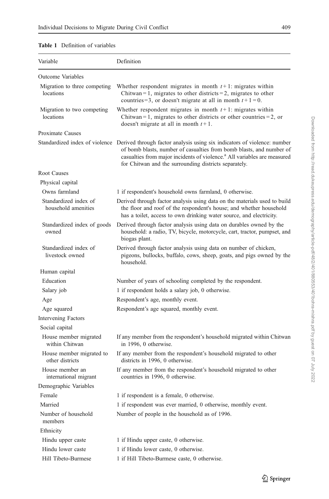Downloaded from http://read.dukeupress.edu/demography/article-pdf/48/2/401/880563/401bohra-mishra.pdf by guest on 07 July 2022 Downloaded from http://read.dukeupress.edu/demography/article-pdf/48/2/401/880553/401bohra-mishra.pdf by guest on 07 July 2022

#### <span id="page-8-0"></span>Table 1 Definition of variables

| Variable                                     | Definition                                                                                                                                                                                                                                                                                                                       |
|----------------------------------------------|----------------------------------------------------------------------------------------------------------------------------------------------------------------------------------------------------------------------------------------------------------------------------------------------------------------------------------|
| <b>Outcome Variables</b>                     |                                                                                                                                                                                                                                                                                                                                  |
| Migration to three competing<br>locations    | Whether respondent migrates in month $t+1$ : migrates within<br>Chitwan = 1, migrates to other districts = 2, migrates to other<br>countries=3, or doesn't migrate at all in month $t+1=0$ .                                                                                                                                     |
| Migration to two competing<br>locations      | Whether respondent migrates in month $t+1$ : migrates within<br>Chitwan = 1, migrates to other districts or other countries = 2, or<br>doesn't migrate at all in month $t+1$ .                                                                                                                                                   |
| Proximate Causes                             |                                                                                                                                                                                                                                                                                                                                  |
|                                              | Standardized index of violence Derived through factor analysis using six indicators of violence: number<br>of bomb blasts, number of casualties from bomb blasts, and number of<br>casualties from major incidents of violence. <sup>a</sup> All variables are measured<br>for Chitwan and the surrounding districts separately. |
| Root Causes                                  |                                                                                                                                                                                                                                                                                                                                  |
| Physical capital                             |                                                                                                                                                                                                                                                                                                                                  |
| Owns farmland                                | 1 if respondent's household owns farmland, 0 otherwise.                                                                                                                                                                                                                                                                          |
| Standardized index of<br>household amenities | Derived through factor analysis using data on the materials used to build<br>the floor and roof of the respondent's house; and whether household<br>has a toilet, access to own drinking water source, and electricity.                                                                                                          |
| Standardized index of goods<br>owned         | Derived through factor analysis using data on durables owned by the<br>household: a radio, TV, bicycle, motorcycle, cart, tractor, pumpset, and<br>biogas plant.                                                                                                                                                                 |
| Standardized index of<br>livestock owned     | Derived through factor analysis using data on number of chicken,<br>pigeons, bullocks, buffalo, cows, sheep, goats, and pigs owned by the<br>household.                                                                                                                                                                          |
| Human capital                                |                                                                                                                                                                                                                                                                                                                                  |
| Education                                    | Number of years of schooling completed by the respondent.                                                                                                                                                                                                                                                                        |
| Salary job                                   | 1 if respondent holds a salary job, 0 otherwise.                                                                                                                                                                                                                                                                                 |
| Age                                          | Respondent's age, monthly event.                                                                                                                                                                                                                                                                                                 |
| Age squared                                  | Respondent's age squared, monthly event.                                                                                                                                                                                                                                                                                         |
| <b>Intervening Factors</b>                   |                                                                                                                                                                                                                                                                                                                                  |
| Social capital                               |                                                                                                                                                                                                                                                                                                                                  |
| House member migrated<br>within Chitwan      | If any member from the respondent's household migrated within Chitwan<br>in 1996, 0 otherwise.                                                                                                                                                                                                                                   |
| House member migrated to<br>other districts  | If any member from the respondent's household migrated to other<br>districts in 1996, 0 otherwise.                                                                                                                                                                                                                               |
| House member an<br>international migrant     | If any member from the respondent's household migrated to other<br>countries in 1996, 0 otherwise.                                                                                                                                                                                                                               |
| Demographic Variables                        |                                                                                                                                                                                                                                                                                                                                  |
| Female                                       | 1 if respondent is a female, 0 otherwise.                                                                                                                                                                                                                                                                                        |
| Married                                      | 1 if respondent was ever married, 0 otherwise, monthly event.                                                                                                                                                                                                                                                                    |
| Number of household<br>members               | Number of people in the household as of 1996.                                                                                                                                                                                                                                                                                    |
| Ethnicity                                    |                                                                                                                                                                                                                                                                                                                                  |
| Hindu upper caste                            | 1 if Hindu upper caste, 0 otherwise.                                                                                                                                                                                                                                                                                             |
| Hindu lower caste                            | 1 if Hindu lower caste, 0 otherwise.                                                                                                                                                                                                                                                                                             |
| Hill Tibeto-Burmese                          | 1 if Hill Tibeto-Burmese caste, 0 otherwise.                                                                                                                                                                                                                                                                                     |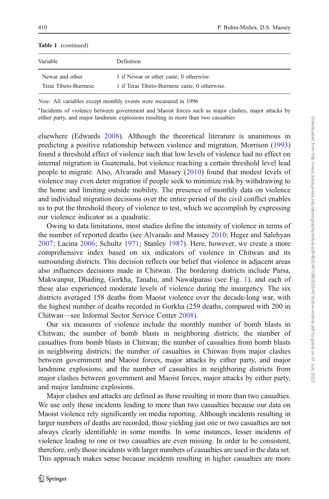| Variable                                | <b>Definition</b>                                                                        |
|-----------------------------------------|------------------------------------------------------------------------------------------|
| Newar and other<br>Terai Tibeto-Burmese | 1 if Newar or other caste, 0 otherwise.<br>1 if Terai Tibeto-Burmese caste, 0 otherwise. |

Note: All variables except monthly events were measured in 1996

<sup>a</sup>Incidents of violence between government and Maoist forces such as major clashes, major attacks by either party, and major landmine explosions resulting in more than two casualties

elsewhere (Edwards [2008](#page-22-0)). Although the theoretical literature is unanimous in predicting a positive relationship between violence and migration, Morrison [\(1993](#page-23-0)) found a threshold effect of violence such that low levels of violence had no effect on internal migration in Guatemala, but violence reaching a certain threshold level lead people to migrate. Also, Alvarado and Massey [\(2010](#page-22-0)) found that modest levels of violence may even deter migration if people seek to minimize risk by withdrawing to the home and limiting outside mobility. The presence of monthly data on violence and individual migration decisions over the entire period of the civil conflict enables us to put the threshold theory of violence to test, which we accomplish by expressing our violence indicator as a quadratic.

Owing to data limitations, most studies define the intensity of violence in terms of the number of reported deaths (see Alvarado and Massey [2010](#page-22-0); Heger and Salehyan [2007;](#page-22-0) Lacina [2006](#page-22-0); Schultz [1971](#page-23-0); Stanley [1987](#page-23-0)). Here, however, we create a more comprehensive index based on six indicators of violence in Chitwan and its surrounding districts. This decision reflects our belief that violence in adjacent areas also influences decisions made in Chitwan. The bordering districts include Parsa, Makwanpur, Dhading, Gorkha, Tanahu, and Nawalparasi (see Fig. [1](#page-4-0)), and each of these also experienced moderate levels of violence during the insurgency. The six districts averaged 158 deaths from Maoist violence over the decade-long war, with the highest number of deaths recorded in Gorkha (259 deaths, compared with 200 in Chitwan—see Informal Sector Service Center [2008\)](#page-22-0).

Our six measures of violence include the monthly number of bomb blasts in Chitwan; the number of bomb blasts in neighboring districts; the number of casualties from bomb blasts in Chitwan; the number of casualties from bomb blasts in neighboring districts; the number of casualties in Chitwan from major clashes between government and Maoist forces, major attacks by either party, and major landmine explosions; and the number of casualties in neighboring districts from major clashes between government and Maoist forces, major attacks by either party, and major landmine explosions.

Major clashes and attacks are defined as those resulting in more than two casualties. We use only those incidents leading to more than two casualties because our data on Maoist violence rely significantly on media reporting. Although incidents resulting in larger numbers of deaths are recorded, those yielding just one or two casualties are not always clearly identifiable in some months. In some instances, lesser incidents of violence leading to one or two casualties are even missing. In order to be consistent, therefore, only those incidents with larger numbers of casualties are used in the data set. This approach makes sense because incidents resulting in higher casualties are more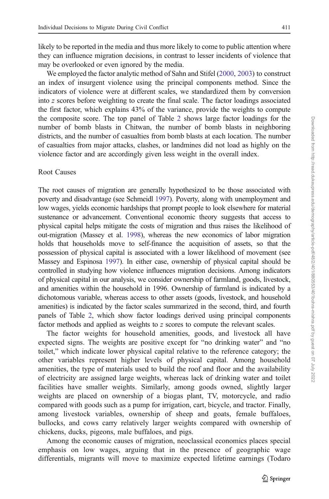likely to be reported in the media and thus more likely to come to public attention where they can influence migration decisions, in contrast to lesser incidents of violence that may be overlooked or even ignored by the media.

We employed the factor analytic method of Sahn and Stifel ([2000](#page-23-0), [2003](#page-23-0)) to construct an index of insurgent violence using the principal components method. Since the indicators of violence were at different scales, we standardized them by conversion into z scores before weighting to create the final scale. The factor loadings associated the first factor, which explains 43% of the variance, provide the weights to compute the composite score. The top panel of Table [2](#page-11-0) shows large factor loadings for the number of bomb blasts in Chitwan, the number of bomb blasts in neighboring districts, and the number of casualties from bomb blasts at each location. The number of casualties from major attacks, clashes, or landmines did not load as highly on the violence factor and are accordingly given less weight in the overall index.

## Root Causes

The root causes of migration are generally hypothesized to be those associated with poverty and disadvantage (see Schmeidl [1997](#page-23-0)). Poverty, along with unemployment and low wages, yields economic hardships that prompt people to look elsewhere for material sustenance or advancement. Conventional economic theory suggests that access to physical capital helps mitigate the costs of migration and thus raises the likelihood of out-migration (Massey et al. [1998](#page-22-0)), whereas the new economics of labor migration holds that households move to self-finance the acquisition of assets, so that the possession of physical capital is associated with a lower likelihood of movement (see Massey and Espinosa [1997\)](#page-23-0). In either case, ownership of physical capital should be controlled in studying how violence influences migration decisions. Among indicators of physical capital in our analysis, we consider ownership of farmland, goods, livestock, and amenities within the household in 1996. Ownership of farmland is indicated by a dichotomous variable, whereas access to other assets (goods, livestock, and household amenities) is indicated by the factor scales summarized in the second, third, and fourth panels of Table [2,](#page-11-0) which show factor loadings derived using principal components factor methods and applied as weights to z scores to compute the relevant scales.

The factor weights for household amenities, goods, and livestock all have expected signs. The weights are positive except for "no drinking water" and "no toilet," which indicate lower physical capital relative to the reference category; the other variables represent higher levels of physical capital. Among household amenities, the type of materials used to build the roof and floor and the availability of electricity are assigned large weights, whereas lack of drinking water and toilet facilities have smaller weights. Similarly, among goods owned, slightly larger weights are placed on ownership of a biogas plant, TV, motorcycle, and radio compared with goods such as a pump for irrigation, cart, bicycle, and tractor. Finally, among livestock variables, ownership of sheep and goats, female buffaloes, bullocks, and cows carry relatively larger weights compared with ownership of chickens, ducks, pigeons, male buffaloes, and pigs.

Among the economic causes of migration, neoclassical economics places special emphasis on low wages, arguing that in the presence of geographic wage differentials, migrants will move to maximize expected lifetime earnings (Todaro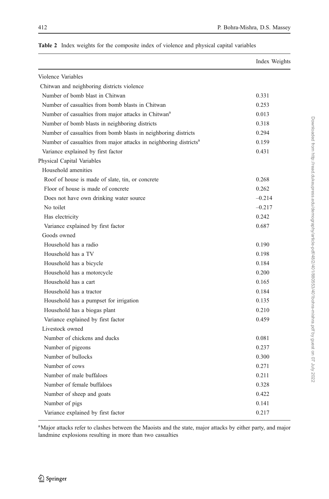|                                                                               | Index Weights |
|-------------------------------------------------------------------------------|---------------|
| Violence Variables                                                            |               |
| Chitwan and neighboring districts violence                                    |               |
| Number of bomb blast in Chitwan                                               | 0.331         |
| Number of casualties from bomb blasts in Chitwan                              | 0.253         |
| Number of casualties from major attacks in Chitwan <sup>a</sup>               | 0.013         |
| Number of bomb blasts in neighboring districts                                | 0.318         |
| Number of casualties from bomb blasts in neighboring districts                | 0.294         |
| Number of casualties from major attacks in neighboring districts <sup>a</sup> | 0.159         |
| Variance explained by first factor                                            | 0.431         |
| Physical Capital Variables                                                    |               |
| Household amenities                                                           |               |
| Roof of house is made of slate, tin, or concrete                              | 0.268         |
| Floor of house is made of concrete                                            | 0.262         |
| Does not have own drinking water source                                       | $-0.214$      |
| No toilet                                                                     | $-0.217$      |
| Has electricity                                                               | 0.242         |
| Variance explained by first factor                                            | 0.687         |
| Goods owned                                                                   |               |
| Household has a radio                                                         | 0.190         |
| Household has a TV                                                            | 0.198         |
| Household has a bicycle                                                       | 0.184         |
| Household has a motorcycle                                                    | 0.200         |
| Household has a cart                                                          | 0.165         |
| Household has a tractor                                                       | 0.184         |
| Household has a pumpset for irrigation                                        | 0.135         |
| Household has a biogas plant                                                  | 0.210         |
| Variance explained by first factor                                            | 0.459         |
| Livestock owned                                                               |               |
| Number of chickens and ducks                                                  | 0.081         |
| Number of pigeons                                                             | 0.237         |
| Number of bullocks                                                            | 0.300         |
| Number of cows                                                                | 0.271         |
| Number of male buffaloes                                                      | 0.211         |
| Number of female buffaloes                                                    | 0.328         |
| Number of sheep and goats                                                     | 0.422         |
| Number of pigs                                                                | 0.141         |
| Variance explained by first factor                                            | 0.217         |
|                                                                               |               |

<span id="page-11-0"></span>Table 2 Index weights for the composite index of violence and physical capital variables

<sup>a</sup>Major attacks refer to clashes between the Maoists and the state, major attacks by either party, and major landmine explosions resulting in more than two casualties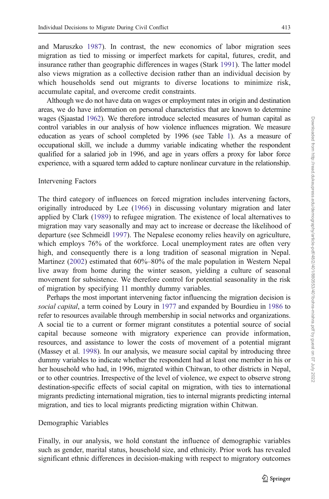and Maruszko [1987](#page-23-0)). In contrast, the new economics of labor migration sees migration as tied to missing or imperfect markets for capital, futures, credit, and insurance rather than geographic differences in wages (Stark [1991](#page-23-0)). The latter model also views migration as a collective decision rather than an individual decision by which households send out migrants to diverse locations to minimize risk, accumulate capital, and overcome credit constraints.

Although we do not have data on wages or employment rates in origin and destination areas, we do have information on personal characteristics that are known to determine wages (Sjaastad [1962\)](#page-23-0). We therefore introduce selected measures of human capital as control variables in our analysis of how violence influences migration. We measure education as years of school completed by 1996 (see Table [1](#page-8-0)). As a measure of occupational skill, we include a dummy variable indicating whether the respondent qualified for a salaried job in 1996, and age in years offers a proxy for labor force experience, with a squared term added to capture nonlinear curvature in the relationship.

#### Intervening Factors

The third category of influences on forced migration includes intervening factors, originally introduced by Lee [\(1966](#page-22-0)) in discussing voluntary migration and later applied by Clark [\(1989](#page-22-0)) to refugee migration. The existence of local alternatives to migration may vary seasonally and may act to increase or decrease the likelihood of departure (see Schmeidl [1997\)](#page-23-0). The Nepalese economy relies heavily on agriculture, which employs 76% of the workforce. Local unemployment rates are often very high, and consequently there is a long tradition of seasonal migration in Nepal. Martinez [\(2002](#page-22-0)) estimated that 60%–80% of the male population in Western Nepal live away from home during the winter season, yielding a culture of seasonal movement for subsistence. We therefore control for potential seasonality in the risk of migration by specifying 11 monthly dummy variables.

Perhaps the most important intervening factor influencing the migration decision is social capital, a term coined by Loury in [1977](#page-22-0) and expanded by Bourdieu in [1986](#page-22-0) to refer to resources available through membership in social networks and organizations. A social tie to a current or former migrant constitutes a potential source of social capital because someone with migratory experience can provide information, resources, and assistance to lower the costs of movement of a potential migrant (Massey et al. [1998\)](#page-22-0). In our analysis, we measure social capital by introducing three dummy variables to indicate whether the respondent had at least one member in his or her household who had, in 1996, migrated within Chitwan, to other districts in Nepal, or to other countries. Irrespective of the level of violence, we expect to observe strong destination-specific effects of social capital on migration, with ties to international migrants predicting international migration, ties to internal migrants predicting internal migration, and ties to local migrants predicting migration within Chitwan.

#### Demographic Variables

Finally, in our analysis, we hold constant the influence of demographic variables such as gender, marital status, household size, and ethnicity. Prior work has revealed significant ethnic differences in decision-making with respect to migratory outcomes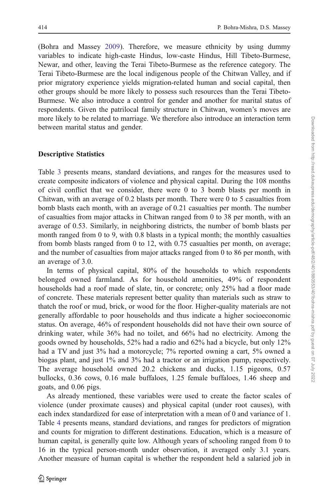(Bohra and Massey [2009](#page-22-0)). Therefore, we measure ethnicity by using dummy variables to indicate high-caste Hindus, low-caste Hindus, Hill Tibeto-Burmese, Newar, and other, leaving the Terai Tibeto-Burmese as the reference category. The Terai Tibeto-Burmese are the local indigenous people of the Chitwan Valley, and if prior migratory experience yields migration-related human and social capital, then other groups should be more likely to possess such resources than the Terai Tibeto-Burmese. We also introduce a control for gender and another for marital status of respondents. Given the patrilocal family structure in Chitwan, women's moves are more likely to be related to marriage. We therefore also introduce an interaction term between marital status and gender.

## Descriptive Statistics

Table [3](#page-14-0) presents means, standard deviations, and ranges for the measures used to create composite indicators of violence and physical capital. During the 108 months of civil conflict that we consider, there were 0 to 3 bomb blasts per month in Chitwan, with an average of 0.2 blasts per month. There were 0 to 5 casualties from bomb blasts each month, with an average of 0.21 casualties per month. The number of casualties from major attacks in Chitwan ranged from 0 to 38 per month, with an average of 0.53. Similarly, in neighboring districts, the number of bomb blasts per month ranged from 0 to 9, with 0.8 blasts in a typical month; the monthly casualties from bomb blasts ranged from 0 to 12, with 0.75 casualties per month, on average; and the number of casualties from major attacks ranged from 0 to 86 per month, with an average of 3.0.

In terms of physical capital, 80% of the households to which respondents belonged owned farmland. As for household amenities, 49% of respondent households had a roof made of slate, tin, or concrete; only 25% had a floor made of concrete. These materials represent better quality than materials such as straw to thatch the roof or mud, brick, or wood for the floor. Higher-quality materials are not generally affordable to poor households and thus indicate a higher socioeconomic status. On average, 46% of respondent households did not have their own source of drinking water, while 36% had no toilet, and 66% had no electricity. Among the goods owned by households, 52% had a radio and 62% had a bicycle, but only 12% had a TV and just 3% had a motorcycle; 7% reported owning a cart, 5% owned a biogas plant, and just 1% and 3% had a tractor or an irrigation pump, respectively. The average household owned 20.2 chickens and ducks, 1.15 pigeons, 0.57 bullocks, 0.36 cows, 0.16 male buffaloes, 1.25 female buffaloes, 1.46 sheep and goats, and 0.06 pigs.

As already mentioned, these variables were used to create the factor scales of violence (under proximate causes) and physical capital (under root causes), with each index standardized for ease of interpretation with a mean of 0 and variance of 1. Table [4](#page-15-0) presents means, standard deviations, and ranges for predictors of migration and counts for migration to different destinations. Education, which is a measure of human capital, is generally quite low. Although years of schooling ranged from 0 to 16 in the typical person-month under observation, it averaged only 3.1 years. Another measure of human capital is whether the respondent held a salaried job in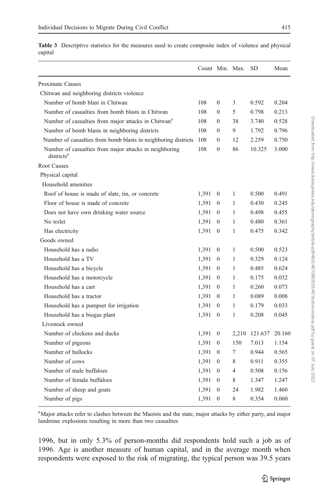|                                                                                  | Count Min. Max. |              |       | <b>SD</b> | Mean   |
|----------------------------------------------------------------------------------|-----------------|--------------|-------|-----------|--------|
| <b>Proximate Causes</b>                                                          |                 |              |       |           |        |
| Chitwan and neighboring districts violence                                       |                 |              |       |           |        |
| Number of bomb blast in Chitwan                                                  | 108             | $\Omega$     | 3     | 0.592     | 0.204  |
| Number of casualties from bomb blasts in Chitwan                                 | 108             | $\Omega$     | 5     | 0.798     | 0.213  |
| Number of casualties from major attacks in Chitwan <sup>a</sup>                  | 108             | $\Omega$     | 38    | 3.740     | 0.528  |
| Number of bomb blasts in neighboring districts                                   | 108             | $\Omega$     | 9     | 1.792     | 0.796  |
| Number of casualties from bomb blasts in neighboring districts                   | 108             | $\Omega$     | 12    | 2.259     | 0.750  |
| Number of casualties from major attacks in neighboring<br>districts <sup>a</sup> | 108             | $\Omega$     | 86    | 10.325    | 3.000  |
| <b>Root Causes</b>                                                               |                 |              |       |           |        |
| Physical capital                                                                 |                 |              |       |           |        |
| Household amenities                                                              |                 |              |       |           |        |
| Roof of house is made of slate, tin, or concrete                                 | 1,391           | $\Omega$     | 1     | 0.500     | 0.491  |
| Floor of house is made of concrete                                               | 1,391           | $\Omega$     | 1     | 0.430     | 0.245  |
| Does not have own drinking water source                                          | 1,391           | $\Omega$     | 1     | 0.498     | 0.455  |
| No toilet                                                                        | 1,391           | $\Omega$     | 1     | 0.480     | 0.361  |
| Has electricity                                                                  | 1,391           | $\Omega$     | 1     | 0.475     | 0.342  |
| Goods owned                                                                      |                 |              |       |           |        |
| Household has a radio                                                            | 1,391           | $\Omega$     | 1     | 0.500     | 0.523  |
| Household has a TV                                                               | 1,391           | $\Omega$     | 1     | 0.329     | 0.124  |
| Household has a bicycle                                                          | 1,391           | $\Omega$     | 1     | 0.485     | 0.624  |
| Household has a motorcycle                                                       | 1,391           | $\Omega$     | 1     | 0.175     | 0.032  |
| Household has a cart                                                             | 1,391           | $\Omega$     | 1     | 0.260     | 0.073  |
| Household has a tractor                                                          | 1,391           | $\Omega$     | 1     | 0.089     | 0.008  |
| Household has a pumpset for irrigation                                           | 1,391           | $\Omega$     | 1     | 0.179     | 0.033  |
| Household has a biogas plant                                                     | 1,391           | $\mathbf{0}$ | 1     | 0.208     | 0.045  |
| Livestock owned                                                                  |                 |              |       |           |        |
| Number of chickens and ducks                                                     | 1,391           | $\mathbf{0}$ | 2,210 | 121.637   | 20.160 |
| Number of pigeons                                                                | 1,391           | $\mathbf{0}$ | 150   | 7.013     | 1.154  |
| Number of bullocks                                                               | 1,391           | $\mathbf{0}$ | 7     | 0.944     | 0.565  |
| Number of cows                                                                   | 1,391           | $\Omega$     | 8     | 0.911     | 0.355  |
| Number of male buffaloes                                                         | 1,391           | $\Omega$     | 4     | 0.508     | 0.156  |
| Number of female buffaloes                                                       | 1,391           | $\Omega$     | 8     | 1.347     | 1.247  |
| Number of sheep and goats                                                        | 1,391           | $\Omega$     | 24    | 1.982     | 1.460  |
| Number of pigs                                                                   | 1,391           | $\Omega$     | 8     | 0.354     | 0.060  |

<span id="page-14-0"></span>Table 3 Descriptive statistics for the measures used to create composite index of violence and physical capital

<sup>a</sup>Major attacks refer to clashes between the Maoists and the state, major attacks by either party, and major landmine explosions resulting in more than two casualties

1996, but in only 5.3% of person-months did respondents hold such a job as of 1996. Age is another measure of human capital, and in the average month when respondents were exposed to the risk of migrating, the typical person was 39.5 years

Downloaded from http://read.dukeupress.edu/demography/article-pdf/48/2/401/880553/401bohra-mishra.pdf by guest on 07 July 2022 Downloaded from http://read.dukeupress.edu/demography/article-pdf/48/2/401/880553/401bohra-mishra.pdf by guest on 07 July 2022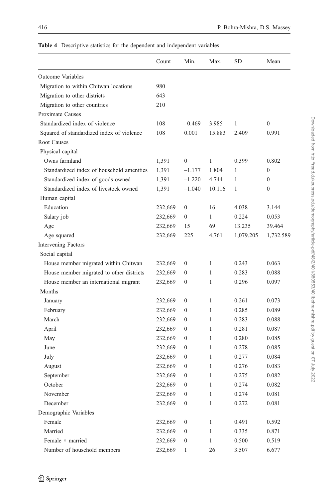|                                           | Count   | Min.             | Max.         | SD        | Mean         |
|-------------------------------------------|---------|------------------|--------------|-----------|--------------|
| <b>Outcome Variables</b>                  |         |                  |              |           |              |
| Migration to within Chitwan locations     | 980     |                  |              |           |              |
| Migration to other districts              | 643     |                  |              |           |              |
| Migration to other countries              | 210     |                  |              |           |              |
| <b>Proximate Causes</b>                   |         |                  |              |           |              |
| Standardized index of violence            | 108     | $-0.469$         | 3.985        | 1         | $\mathbf{0}$ |
| Squared of standardized index of violence | 108     | 0.001            | 15.883       | 2.409     | 0.991        |
| <b>Root Causes</b>                        |         |                  |              |           |              |
| Physical capital                          |         |                  |              |           |              |
| Owns farmland                             | 1,391   | $\mathbf{0}$     | 1            | 0.399     | 0.802        |
| Standardized index of household amenities | 1,391   | $-1.177$         | 1.804        | 1         | $\mathbf{0}$ |
| Standardized index of goods owned         | 1,391   | $-1.220$         | 4.744        | 1         | $\mathbf{0}$ |
| Standardized index of livestock owned     | 1,391   | $-1.040$         | 10.116       | 1         | $\mathbf{0}$ |
| Human capital                             |         |                  |              |           |              |
| Education                                 | 232,669 | $\mathbf{0}$     | 16           | 4.038     | 3.144        |
| Salary job                                | 232,669 | $\boldsymbol{0}$ | 1            | 0.224     | 0.053        |
| Age                                       | 232,669 | 15               | 69           | 13.235    | 39.464       |
| Age squared                               | 232,669 | 225              | 4,761        | 1,079.205 | 1,732.589    |
| Intervening Factors                       |         |                  |              |           |              |
| Social capital                            |         |                  |              |           |              |
| House member migrated within Chitwan      | 232,669 | $\mathbf{0}$     | 1            | 0.243     | 0.063        |
| House member migrated to other districts  | 232,669 | 0                | $\mathbf{1}$ | 0.283     | 0.088        |
| House member an international migrant     | 232,669 | $\mathbf{0}$     | 1            | 0.296     | 0.097        |
| Months                                    |         |                  |              |           |              |
| January                                   | 232,669 | $\mathbf{0}$     | 1            | 0.261     | 0.073        |
| February                                  | 232,669 | 0                | 1            | 0.285     | 0.089        |
| March                                     | 232,669 | $\Omega$         | $\mathbf{1}$ | 0.283     | 0.088        |
| April                                     | 232,669 | $\Omega$         | $\mathbf{1}$ | 0.281     | 0.087        |
| May                                       | 232,669 | $\mathbf{0}$     | $\mathbf{1}$ | 0.280     | 0.085        |
| June                                      | 232,669 | $\mathbf{0}$     | $\mathbf{1}$ | 0.278     | 0.085        |
| July                                      | 232,669 | $\mathbf{0}$     | 1            | 0.277     | 0.084        |
| August                                    | 232,669 | $\mathbf{0}$     | 1            | 0.276     | 0.083        |
| September                                 | 232,669 | $\mathbf{0}$     | 1            | 0.275     | 0.082        |
| October                                   | 232,669 | $\mathbf{0}$     | 1            | 0.274     | 0.082        |
| November                                  | 232,669 | $\boldsymbol{0}$ | $\mathbf{1}$ | 0.274     | 0.081        |
| December                                  | 232,669 | $\boldsymbol{0}$ | $\mathbf{1}$ | 0.272     | 0.081        |
| Demographic Variables                     |         |                  |              |           |              |
| Female                                    | 232,669 | $\boldsymbol{0}$ | $\mathbf{1}$ | 0.491     | 0.592        |
| Married                                   | 232,669 | $\boldsymbol{0}$ | $\mathbf{1}$ | 0.335     | 0.871        |
| Female × married                          | 232,669 | $\boldsymbol{0}$ | $\mathbf{1}$ | 0.500     | 0.519        |
| Number of household members               | 232,669 | $\mathbf{1}$     | 26           | 3.507     | 6.677        |

<span id="page-15-0"></span>Table 4 Descriptive statistics for the dependent and independent variables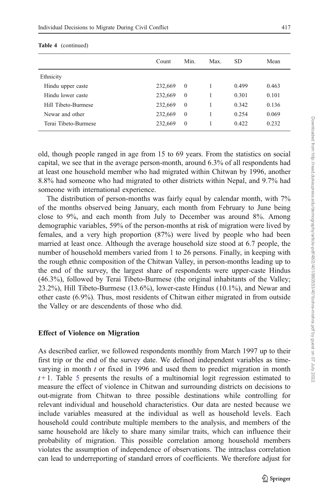|                      | Count   | Min.     | Max. | <b>SD</b> | Mean  |
|----------------------|---------|----------|------|-----------|-------|
| Ethnicity            |         |          |      |           |       |
| Hindu upper caste    | 232,669 | $\theta$ |      | 0.499     | 0.463 |
| Hindu lower caste    | 232,669 | $\theta$ |      | 0.301     | 0.101 |
| Hill Tibeto-Burmese  | 232,669 | $\theta$ |      | 0.342     | 0.136 |
| Newar and other      | 232,669 | $\theta$ |      | 0.254     | 0.069 |
| Terai Tibeto-Burmese | 232,669 | $\theta$ |      | 0.422     | 0.232 |
|                      |         |          |      |           |       |

#### Table 4 (continued)

old, though people ranged in age from 15 to 69 years. From the statistics on social capital, we see that in the average person-month, around 6.3% of all respondents had at least one household member who had migrated within Chitwan by 1996, another 8.8% had someone who had migrated to other districts within Nepal, and 9.7% had someone with international experience.

The distribution of person-months was fairly equal by calendar month, with 7% of the months observed being January, each month from February to June being close to 9%, and each month from July to December was around 8%. Among demographic variables, 59% of the person-months at risk of migration were lived by females, and a very high proportion (87%) were lived by people who had been married at least once. Although the average household size stood at 6.7 people, the number of household members varied from 1 to 26 persons. Finally, in keeping with the rough ethnic composition of the Chitwan Valley, in person-months leading up to the end of the survey, the largest share of respondents were upper-caste Hindus (46.3%), followed by Terai Tibeto-Burmese (the original inhabitants of the Valley; 23.2%), Hill Tibeto-Burmese (13.6%), lower-caste Hindus (10.1%), and Newar and other caste (6.9%). Thus, most residents of Chitwan either migrated in from outside the Valley or are descendents of those who did.

### Effect of Violence on Migration

As described earlier, we followed respondents monthly from March 1997 up to their first trip or the end of the survey date. We defined independent variables as timevarying in month  $t$  or fixed in 1996 and used them to predict migration in month  $t+1$ . Table [5](#page-17-0) presents the results of a multinomial logit regression estimated to measure the effect of violence in Chitwan and surrounding districts on decisions to out-migrate from Chitwan to three possible destinations while controlling for relevant individual and household characteristics. Our data are nested because we include variables measured at the individual as well as household levels. Each household could contribute multiple members to the analysis, and members of the same household are likely to share many similar traits, which can influence their probability of migration. This possible correlation among household members violates the assumption of independence of observations. The intraclass correlation can lead to underreporting of standard errors of coefficients. We therefore adjust for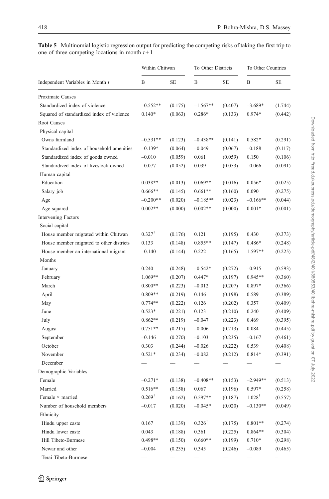|                                           | Within Chitwan    |         | To Other Districts |         | To Other Countries |           |
|-------------------------------------------|-------------------|---------|--------------------|---------|--------------------|-----------|
| Independent Variables in Month t          | B                 | SE      | B                  | SE      | B                  | <b>SE</b> |
| <b>Proximate Causes</b>                   |                   |         |                    |         |                    |           |
| Standardized index of violence            | $-0.552**$        | (0.175) | $-1.567**$         | (0.407) | $-3.689*$          | (1.744)   |
| Squared of standardized index of violence | $0.140*$          | (0.063) | $0.286*$           | (0.133) | $0.974*$           | (0.442)   |
| Root Causes                               |                   |         |                    |         |                    |           |
| Physical capital                          |                   |         |                    |         |                    |           |
| Owns farmland                             | $-0.531**$        | (0.123) | $-0.438**$         | (0.141) | $0.582*$           | (0.291)   |
| Standardized index of household amenities | $-0.139*$         | (0.064) | $-0.049$           | (0.067) | $-0.188$           | (0.117)   |
| Standardized index of goods owned         | $-0.010$          | (0.059) | 0.061              | (0.059) | 0.150              | (0.106)   |
| Standardized index of livestock owned     | $-0.077$          | (0.052) | 0.039              | (0.053) | $-0.066$           | (0.091)   |
| Human capital                             |                   |         |                    |         |                    |           |
| Education                                 | $0.038**$         | (0.013) | $0.069**$          | (0.016) | $0.056*$           | (0.025)   |
| Salary job                                | $0.666**$         | (0.145) | $0.661**$          | (0.160) | 0.090              | (0.275)   |
| Age                                       | $-0.200**$        | (0.020) | $-0.185**$         | (0.023) | $-0.166**$         | (0.044)   |
| Age squared                               | $0.002**$         | (0.000) | $0.002**$          | (0.000) | $0.001*$           | (0.001)   |
| <b>Intervening Factors</b>                |                   |         |                    |         |                    |           |
| Social capital                            |                   |         |                    |         |                    |           |
| House member migrated within Chitwan      | $0.327^{\dagger}$ | (0.176) | 0.121              | (0.195) | 0.430              | (0.373)   |
| House member migrated to other districts  | 0.133             | (0.148) | $0.855**$          | (0.147) | $0.486*$           | (0.248)   |
| House member an international migrant     | $-0.140$          | (0.144) | 0.222              | (0.165) | $1.597**$          | (0.225)   |
| Months                                    |                   |         |                    |         |                    |           |
| January                                   | 0.240             | (0.248) | $-0.542*$          | (0.272) | $-0.915$           | (0.593)   |
| February                                  | $1.069**$         | (0.207) | $0.447*$           | (0.197) | $0.945**$          | (0.360)   |
| March                                     | $0.800**$         | (0.223) | $-0.012$           | (0.207) | $0.897*$           | (0.366)   |
| April                                     | $0.809**$         | (0.219) | 0.146              | (0.198) | 0.589              | (0.389)   |
| May                                       | $0.774**$         | (0.222) | 0.126              | (0.202) | 0.357              | (0.409)   |
| June                                      | $0.523*$          | (0.221) | 0.123              | (0.210) | 0.240              | (0.409)   |
| July                                      | $0.862**$         | (0.219) | $-0.047$           | (0.223) | 0.469              | (0.395)   |
| August                                    | $0.751**$         | (0.217) | $-0.006$           | (0.213) | 0.084              | (0.445)   |
| September                                 | $-0.146$          | (0.270) | $-0.103$           | (0.235) | $-0.167$           | (0.461)   |
| October                                   | 0.303             | (0.244) | $-0.026$           | (0.222) | 0.539              | (0.408)   |
| November                                  | $0.521*$          | (0.234) | $-0.082$           | (0.212) | $0.814*$           | (0.391)   |
| December                                  |                   |         |                    |         |                    |           |
| Demographic Variables                     |                   |         |                    |         |                    |           |
| Female                                    | $-0.271*$         | (0.138) | $-0.408**$         | (0.153) | $-2.949**$         | (0.513)   |
| Married                                   | $0.516**$         | (0.158) | 0.067              | (0.196) | $0.597*$           | (0.258)   |
| Female × married                          | $0.269^{\dagger}$ | (0.162) | $0.597**$          | (0.187) | $1.028^{\dagger}$  | (0.557)   |
| Number of household members               | $-0.017$          | (0.020) | $-0.045*$          | (0.020) | $-0.130**$         | (0.049)   |
| Ethnicity                                 |                   |         |                    |         |                    |           |
| Hindu upper caste                         | 0.167             | (0.139) | $0.326^{\dagger}$  | (0.175) | $0.801**$          | (0.274)   |
| Hindu lower caste                         | 0.043             | (0.188) | 0.361              | (0.225) | $0.864**$          | (0.304)   |
| Hill Tibeto-Burmese                       | 0.498**           | (0.150) | $0.660**$          | (0.199) | $0.710*$           | (0.298)   |
| Newar and other                           | $-0.004$          | (0.235) | 0.345              | (0.246) | $-0.089$           | (0.465)   |
| Terai Tibeto-Burmese                      |                   |         |                    |         |                    |           |

<span id="page-17-0"></span>Table 5 Multinomial logistic regression output for predicting the competing risks of taking the first trip to one of three competing locations in month  $t+1$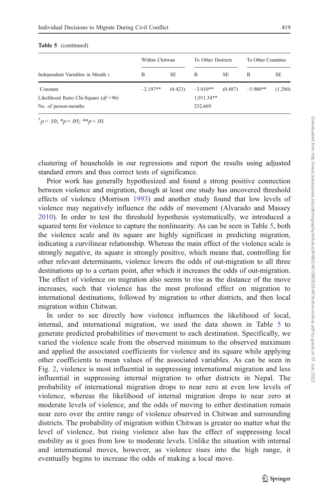| $\mathcal{L}$ Springer |
|------------------------|
|                        |

|  | Table 5 (continued) |
|--|---------------------|
|--|---------------------|

|                                       | Within Chitwan |           | To Other Districts |           | To Other Countries   |           |
|---------------------------------------|----------------|-----------|--------------------|-----------|----------------------|-----------|
| Independent Variables in Month t      | B              | <b>SE</b> | B                  | <b>SE</b> | B                    | <b>SE</b> |
| Constant                              | $-2.197**$     | (0.423)   | $-3.010**$         |           | $(0.487)$ $-5.980**$ | (1.280)   |
| Likelihood Ratio Chi-Square $(df=96)$ |                |           | 1.911.34**         |           |                      |           |
| No. of person-months                  |                |           | 232,669            |           |                      |           |

 $\dagger p < 10; \, \dagger p < 0.05; \, \dagger \dagger p < 0.01$ 

clustering of households in our regressions and report the results using adjusted standard errors and thus correct tests of significance.

Prior work has generally hypothesized and found a strong positive connection between violence and migration, though at least one study has uncovered threshold effects of violence (Morrison [1993\)](#page-23-0) and another study found that low levels of violence may negatively influence the odds of movement (Alvarado and Massey [2010\)](#page-22-0). In order to test the threshold hypothesis systematically, we introduced a squared term for violence to capture the nonlinearity. As can be seen in Table [5,](#page-17-0) both the violence scale and its square are highly significant in predicting migration, indicating a curvilinear relationship. Whereas the main effect of the violence scale is strongly negative, its square is strongly positive, which means that, controlling for other relevant determinants, violence lowers the odds of out-migration to all three destinations up to a certain point, after which it increases the odds of out-migration. The effect of violence on migration also seems to rise as the distance of the move increases, such that violence has the most profound effect on migration to international destinations, followed by migration to other districts, and then local migration within Chitwan.

In order to see directly how violence influences the likelihood of local, internal, and international migration, we used the data shown in Table [5](#page-17-0) to generate predicted probabilities of movement to each destination. Specifically, we varied the violence scale from the observed minimum to the observed maximum and applied the associated coefficients for violence and its square while applying other coefficients to mean values of the associated variables. As can be seen in Fig. [2](#page-19-0), violence is most influential in suppressing international migration and less influential in suppressing internal migration to other districts in Nepal. The probability of international migration drops to near zero at even low levels of violence, whereas the likelihood of internal migration drops to near zero at moderate levels of violence, and the odds of moving to either destination remain near zero over the entire range of violence observed in Chitwan and surrounding districts. The probability of migration within Chitwan is greater no matter what the level of violence, but rising violence also has the effect of suppressing local mobility as it goes from low to moderate levels. Unlike the situation with internal and international moves, however, as violence rises into the high range, it eventually begins to increase the odds of making a local move.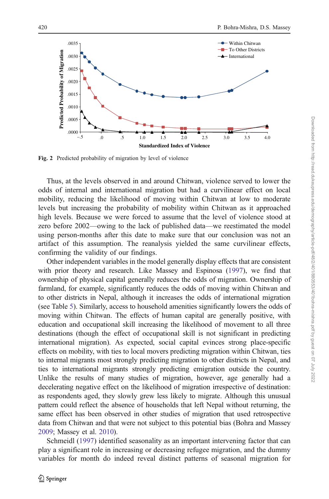<span id="page-19-0"></span>

Fig. 2 Predicted probability of migration by level of violence

Thus, at the levels observed in and around Chitwan, violence served to lower the odds of internal and international migration but had a curvilinear effect on local mobility, reducing the likelihood of moving within Chitwan at low to moderate levels but increasing the probability of mobility within Chitwan as it approached high levels. Because we were forced to assume that the level of violence stood at zero before 2002—owing to the lack of published data—we reestimated the model using person-months after this date to make sure that our conclusion was not an artifact of this assumption. The reanalysis yielded the same curvilinear effects, confirming the validity of our findings.

Other independent variables in the model generally display effects that are consistent with prior theory and research. Like Massey and Espinosa [\(1997\)](#page-23-0), we find that ownership of physical capital generally reduces the odds of migration. Ownership of farmland, for example, significantly reduces the odds of moving within Chitwan and to other districts in Nepal, although it increases the odds of international migration (see Table [5\)](#page-17-0). Similarly, access to household amenities significantly lowers the odds of moving within Chitwan. The effects of human capital are generally positive, with education and occupational skill increasing the likelihood of movement to all three destinations (though the effect of occupational skill is not significant in predicting international migration). As expected, social capital evinces strong place-specific effects on mobility, with ties to local movers predicting migration within Chitwan, ties to internal migrants most strongly predicting migration to other districts in Nepal, and ties to international migrants strongly predicting emigration outside the country. Unlike the results of many studies of migration, however, age generally had a decelerating negative effect on the likelihood of migration irrespective of destination: as respondents aged, they slowly grew less likely to migrate. Although this unusual pattern could reflect the absence of households that left Nepal without returning, the same effect has been observed in other studies of migration that used retrospective data from Chitwan and that were not subject to this potential bias (Bohra and Massey [2009;](#page-22-0) Massey et al. [2010\)](#page-23-0).

Schmeidl ([1997\)](#page-23-0) identified seasonality as an important intervening factor that can play a significant role in increasing or decreasing refugee migration, and the dummy variables for month do indeed reveal distinct patterns of seasonal migration for Downloaded from http://read.dukeupress.edu/demography/article-pdf/48/2/401/880553/401bohra-mishra.pdf by guest on 07 July 2022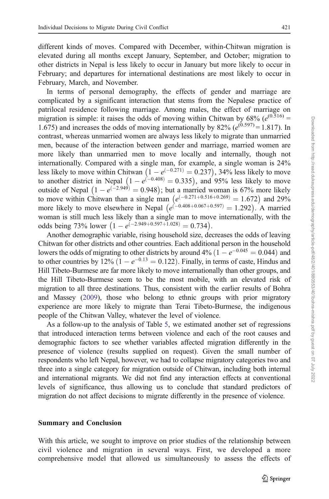different kinds of moves. Compared with December, within-Chitwan migration is elevated during all months except January, September, and October; migration to other districts in Nepal is less likely to occur in January but more likely to occur in February; and departures for international destinations are most likely to occur in February, March, and November.

In terms of personal demography, the effects of gender and marriage are complicated by a significant interaction that stems from the Nepalese practice of patrilocal residence following marriage. Among males, the effect of marriage on migration is simple: it raises the odds of moving within Chitwan by 68% ( $e^{(0.516)}$  = 1.675) and increases the odds of moving internationally by 82% ( $e^{(0.597)}$  = 1.817). In contrast, whereas unmarried women are always less likely to migrate than unmarried men, because of the interaction between gender and marriage, married women are more likely than unmarried men to move locally and internally, though not internationally. Compared with a single man, for example, a single woman is 24% less likely to move within Chitwan  $(1 - e^{(-0.271)} = 0.237)$ , 34% less likely to move to another district in Nepal  $(1 - e^{\lambda 408}) = 0.335$ , and 95% less likely to move outside of Nepal  $(1 - e^{(-2.949)}) = 0.948$ ; but a married woman is 67% more likely to move within Chitwan than a single man  $(e^{(-0.271+0.516+0.269)} = 1.672)$  and 29% more likely to move elsewhere in Nepal  $(e^{\lambda} - 0.408 + 0.067 + 0.597) = 1.292$ . A married woman is still much less likely than a single man to move internationally, with the odds being 73% lower  $(1 - e^{(-2.949 + 0.597 + 1.028)} = 0.734$ .

Another demographic variable, rising household size, decreases the odds of leaving Chitwan for other districts and other countries. Each additional person in the household lowers the odds of migrating to other districts by around  $4\%$  (1 –  $e^{-0.045} = 0.044$ ) and to other countries by  $12\%$   $(1 - e^{-0.13} = 0.122)$ . Finally, in terms of caste, Hindus and Hill Tibeto-Burmese are far more likely to move internationally than other groups, and the Hill Tibeto-Burmese seem to be the most mobile, with an elevated risk of migration to all three destinations. Thus, consistent with the earlier results of Bohra and Massey ([2009](#page-22-0)), those who belong to ethnic groups with prior migratory experience are more likely to migrate than Terai Tibeto-Burmese, the indigenous people of the Chitwan Valley, whatever the level of violence.

As a follow-up to the analysis of Table [5,](#page-17-0) we estimated another set of regressions that introduced interaction terms between violence and each of the root causes and demographic factors to see whether variables affected migration differently in the presence of violence (results supplied on request). Given the small number of respondents who left Nepal, however, we had to collapse migratory categories two and three into a single category for migration outside of Chitwan, including both internal and international migrants. We did not find any interaction effects at conventional levels of significance, thus allowing us to conclude that standard predictors of migration do not affect decisions to migrate differently in the presence of violence.

## Summary and Conclusion

With this article, we sought to improve on prior studies of the relationship between civil violence and migration in several ways. First, we developed a more comprehensive model that allowed us simultaneously to assess the effects of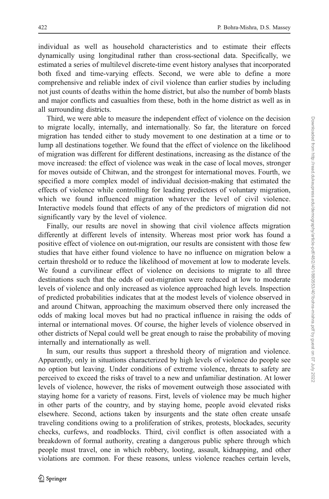individual as well as household characteristics and to estimate their effects dynamically using longitudinal rather than cross-sectional data. Specifically, we estimated a series of multilevel discrete-time event history analyses that incorporated both fixed and time-varying effects. Second, we were able to define a more comprehensive and reliable index of civil violence than earlier studies by including not just counts of deaths within the home district, but also the number of bomb blasts and major conflicts and casualties from these, both in the home district as well as in all surrounding districts.

Third, we were able to measure the independent effect of violence on the decision to migrate locally, internally, and internationally. So far, the literature on forced migration has tended either to study movement to one destination at a time or to lump all destinations together. We found that the effect of violence on the likelihood of migration was different for different destinations, increasing as the distance of the move increased: the effect of violence was weak in the case of local moves, stronger for moves outside of Chitwan, and the strongest for international moves. Fourth, we specified a more complex model of individual decision-making that estimated the effects of violence while controlling for leading predictors of voluntary migration, which we found influenced migration whatever the level of civil violence. Interactive models found that effects of any of the predictors of migration did not significantly vary by the level of violence.

Finally, our results are novel in showing that civil violence affects migration differently at different levels of intensity. Whereas most prior work has found a positive effect of violence on out-migration, our results are consistent with those few studies that have either found violence to have no influence on migration below a certain threshold or to reduce the likelihood of movement at low to moderate levels. We found a curvilinear effect of violence on decisions to migrate to all three destinations such that the odds of out-migration were reduced at low to moderate levels of violence and only increased as violence approached high levels. Inspection of predicted probabilities indicates that at the modest levels of violence observed in and around Chitwan, approaching the maximum observed there only increased the odds of making local moves but had no practical influence in raising the odds of internal or international moves. Of course, the higher levels of violence observed in other districts of Nepal could well be great enough to raise the probability of moving internally and internationally as well.

In sum, our results thus support a threshold theory of migration and violence. Apparently, only in situations characterized by high levels of violence do people see no option but leaving. Under conditions of extreme violence, threats to safety are perceived to exceed the risks of travel to a new and unfamiliar destination. At lower levels of violence, however, the risks of movement outweigh those associated with staying home for a variety of reasons. First, levels of violence may be much higher in other parts of the country, and by staying home, people avoid elevated risks elsewhere. Second, actions taken by insurgents and the state often create unsafe traveling conditions owing to a proliferation of strikes, protests, blockades, security checks, curfews, and roadblocks. Third, civil conflict is often associated with a breakdown of formal authority, creating a dangerous public sphere through which people must travel, one in which robbery, looting, assault, kidnapping, and other violations are common. For these reasons, unless violence reaches certain levels,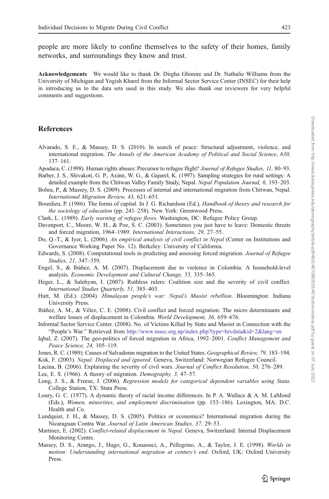<span id="page-22-0"></span>people are more likely to confine themselves to the safety of their homes, family networks, and surroundings they know and trust.

Acknowledgements We would like to thank Dr. Dirgha Ghimire and Dr. Nathalie Williams from the University of Michigan and Yogish Kharel from the Informal Sector Service Center (INSEC) for their help in introducing us to the data sets used in this study. We also thank our reviewers for very helpful comments and suggestions.

### References

- Alvarado, S. E., & Massey, D. S. (2010). In search of peace: Structural adjustment, violence, and international migration. The Annals of the American Academy of Political and Social Science, 630, 137–161.
- Apodaca, C. (1998). Human rights abuses: Precursor to refugee flight? Journal of Refugee Studies, 11, 80–93.
- Barber, J. S., Shivakoti, G. P., Axinn, W. G., & Gajurel, K. (1997). Sampling strategies for rural settings: A

detailed example from the Chitwan Valley Family Study, Nepal. Nepal Population Journal, 6, 193–203.

- Bohra, P., & Massey, D. S. (2009). Processes of internal and international migration from Chitwan, Nepal. International Migration Review, 43, 621–651.
- Bourdieu, P. (1986). The forms of capital. In J. G. Richardson (Ed.), *Handbook of theory and research for* the sociology of education (pp. 241–258). New York: Greenwood Press.
- Clark, L. (1989). Early warning of refugee flows. Washington, DC: Refugee Policy Group.
- Davenport, C., Moore, W. H., & Poe, S. C. (2003). Sometimes you just have to leave: Domestic threats and forced migration, 1964–1989. International Interactions, 29, 27–55.
- Do, Q.-T., & Iyer, L. (2006). An empirical analysis of civil conflict in Nepal (Center on Institutions and Governance Working Paper No. 12). Berkeley: University of California.
- Edwards, S. (2008). Computational tools in predicting and assessing forced migration. Journal of Refugee Studies, 21, 347–359.
- Engel, S., & Ibáñez, A. M. (2007). Displacement due to violence in Colombia: A household-level analysis. Economic Development and Cultural Change, 55, 335–365.
- Heger, L., & Salehyan, I. (2007). Ruthless rulers: Coalition size and the severity of civil conflict. International Studies Quarterly, 51, 385–403.
- Hutt, M. (Ed.). (2004). *Himalayan people's war: Nepal's Maoist rebellion*. Bloomington: Indiana University Press.
- Ibáñez, A. M., & Vélez, C. E. (2008). Civil conflict and forced migration: The micro determinants and welfare losses of displacement in Colombia. World Development, 36, 659–676.
- Informal Sector Service Center. (2008). No. of Victims Killed by State and Maoist in Connection with the "People's War." Retrieved from <http://www.insec.org.np/index.php?type=hrvdata&id=2&lang=en>
- Iqbal, Z. (2007). The geo-politics of forced migration in Africa, 1992–2001. Conflict Management and Peace Science, 24, 105–119.
- Jones, R. C. (1989). Causes of Salvadoran migration to the United States. Geographical Review, 79, 183-194.

Kok, F. (2003). Nepal: Displaced and ignored. Geneva, Switzerland: Norwegian Refugee Council.

- Lacina, B. (2006). Explaining the severity of civil wars. Journal of Conflict Resolution, 50, 276–289.
- Lee, E. S. (1966). A theory of migration. Demography, 3, 47–57.
- Long, J. S., & Freese, J. (2006). Regression models for categorical dependent variables using Stata. College Station, TX: Stata Press.
- Loury, G. C. (1977). A dynamic theory of racial income differences. In P. A. Wallace & A. M. LaMond (Eds.), Women, minorities, and employment discrimination (pp. 153–186). Lexington, MA: D.C. Health and Co.
- Lundquist, J. H., & Massey, D. S. (2005). Politics or economics? International migration during the Nicaraguan Contra War. Journal of Latin American Studies, 37, 29–53.
- Martinez, E. (2002). Conflict-related displacement in Nepal. Geneva, Switzerland: Internal Displacement Monitoring Centre.
- Massey, D. S., Arango, J., Hugo, G., Kouaouci, A., Pellegrino, A., & Taylor, J. E. (1998). Worlds in motion: Understanding international migration at century's end. Oxford, UK: Oxford University Press.